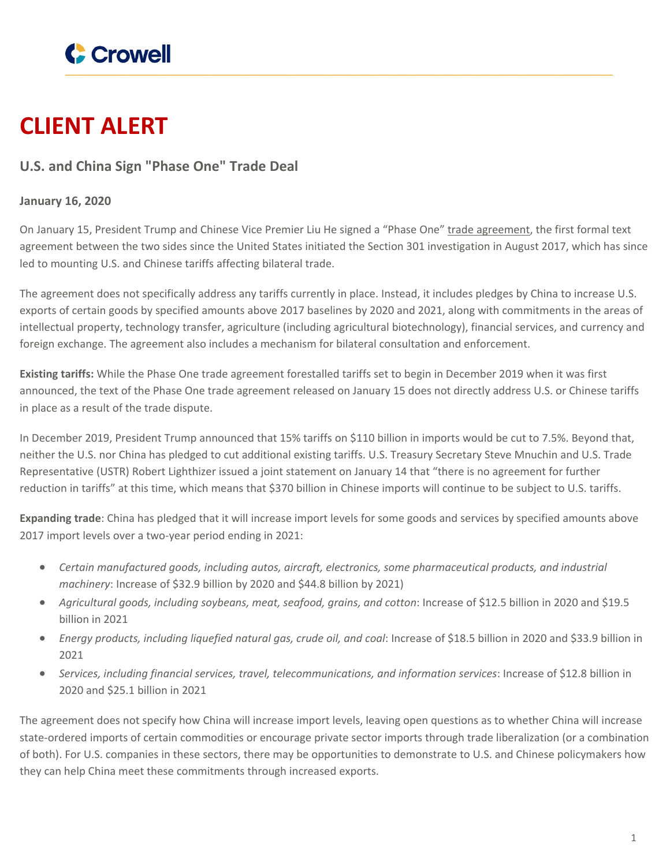

## **CLIENT ALERT**

## **U.S. and China Sign "Phase One" Trade Deal**

## **January 16, 2020**

On January 15, President Trump and Chinese Vice Premier Liu He signed a "Phase One" trade [agreement,](https://ustr.gov/sites/default/files/files/agreements/phase%20one%20agreement/Economic_And_Trade_Agreement_Between_The_United_States_And_China_Text.pdf) the first formal text agreement between the two sides since the United States initiated the Section 301 investigation in August 2017, which has since led to mounting U.S. and Chinese tariffs affecting bilateral trade.

The agreement does not specifically address any tariffs currently in place. Instead, it includes pledges by China to increase U.S. exports of certain goods by specified amounts above 2017 baselines by 2020 and 2021, along with commitments in the areas of intellectual property, technology transfer, agriculture (including agricultural biotechnology), financial services, and currency and foreign exchange. The agreement also includes a mechanism for bilateral consultation and enforcement.

**Existing tariffs:** While the Phase One trade agreement forestalled tariffs set to begin in December 2019 when it was first announced, the text of the Phase One trade agreement released on January 15 does not directly address U.S. or Chinese tariffs in place as a result of the trade dispute.

In December 2019, President Trump announced that 15% tariffs on \$110 billion in imports would be cut to 7.5%. Beyond that, neither the U.S. nor China has pledged to cut additional existing tariffs. U.S. Treasury Secretary Steve Mnuchin and U.S. Trade Representative (USTR) Robert Lighthizer issued a joint statement on January 14 that "there is no agreement for further reduction in tariffs" at this time, which means that \$370 billion in Chinese imports will continue to be subject to U.S. tariffs.

**Expanding trade**: China has pledged that it will increase import levels for some goods and services by specified amounts above 2017 import levels over a two-year period ending in 2021:

- *Certain manufactured goods, including autos, aircraft, electronics, some pharmaceutical products, and industrial machinery*: Increase of \$32.9 billion by 2020 and \$44.8 billion by 2021)
- *Agricultural goods, including soybeans, meat, seafood, grains, and cotton*: Increase of \$12.5 billion in 2020 and \$19.5 billion in 2021
- *Energy products, including liquefied natural gas, crude oil, and coal*: Increase of \$18.5 billion in 2020 and \$33.9 billion in 2021
- *Services, including financial services, travel, telecommunications, and information services*: Increase of \$12.8 billion in 2020 and \$25.1 billion in 2021

The agreement does not specify how China will increase import levels, leaving open questions as to whether China will increase state-ordered imports of certain commodities or encourage private sector imports through trade liberalization (or a combination of both). For U.S. companies in these sectors, there may be opportunities to demonstrate to U.S. and Chinese policymakers how they can help China meet these commitments through increased exports.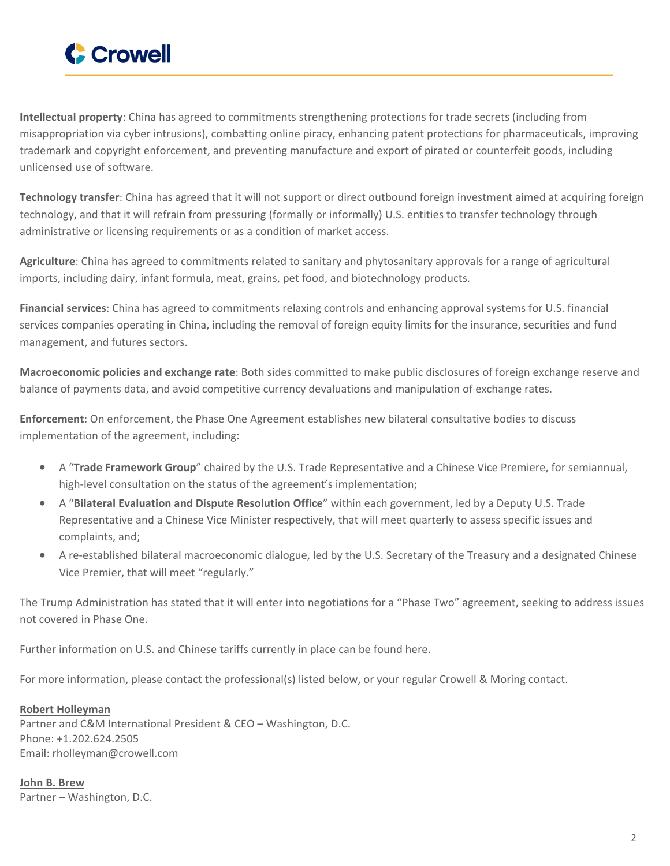

**Intellectual property**: China has agreed to commitments strengthening protections for trade secrets (including from misappropriation via cyber intrusions), combatting online piracy, enhancing patent protections for pharmaceuticals, improving trademark and copyright enforcement, and preventing manufacture and export of pirated or counterfeit goods, including unlicensed use of software.

**Technology transfer**: China has agreed that it will not support or direct outbound foreign investment aimed at acquiring foreign technology, and that it will refrain from pressuring (formally or informally) U.S. entities to transfer technology through administrative or licensing requirements or as a condition of market access.

**Agriculture**: China has agreed to commitments related to sanitary and phytosanitary approvals for a range of agricultural imports, including dairy, infant formula, meat, grains, pet food, and biotechnology products.

**Financial services**: China has agreed to commitments relaxing controls and enhancing approval systems for U.S. financial services companies operating in China, including the removal of foreign equity limits for the insurance, securities and fund management, and futures sectors.

**Macroeconomic policies and exchange rate**: Both sides committed to make public disclosures of foreign exchange reserve and balance of payments data, and avoid competitive currency devaluations and manipulation of exchange rates.

**Enforcement**: On enforcement, the Phase One Agreement establishes new bilateral consultative bodies to discuss implementation of the agreement, including:

- A "**Trade Framework Group**" chaired by the U.S. Trade Representative and a Chinese Vice Premiere, for semiannual, high-level consultation on the status of the agreement's implementation;
- A "**Bilateral Evaluation and Dispute Resolution Office**" within each government, led by a Deputy U.S. Trade Representative and a Chinese Vice Minister respectively, that will meet quarterly to assess specific issues and complaints, and;
- A re-established bilateral macroeconomic dialogue, led by the U.S. Secretary of the Treasury and a designated Chinese Vice Premier, that will meet "regularly."

The Trump Administration has stated that it will enter into negotiations for a "Phase Two" agreement, seeking to address issues not covered in Phase One.

Further information on U.S. and Chinese tariffs currently in place can be found [here](https://www.cmtradelaw.com/2018/10/latest-u-s-trade-actions-tariffs-and-other-countries-retaliatory-measures/).

For more information, please contact the professional(s) listed below, or your regular Crowell & Moring contact.

## **Robert [Holleyman](https://www.crowell.com/professionals/Robert-Holleyman)**

Partner and C&M International President & CEO – Washington, D.C. Phone: +1.202.624.2505 Email: [rholleyman@crowell.com](mailto:rholleyman@crowell.com)

**John B. [Brew](https://www.crowell.com/professionals/John-Brew)** Partner – Washington, D.C.